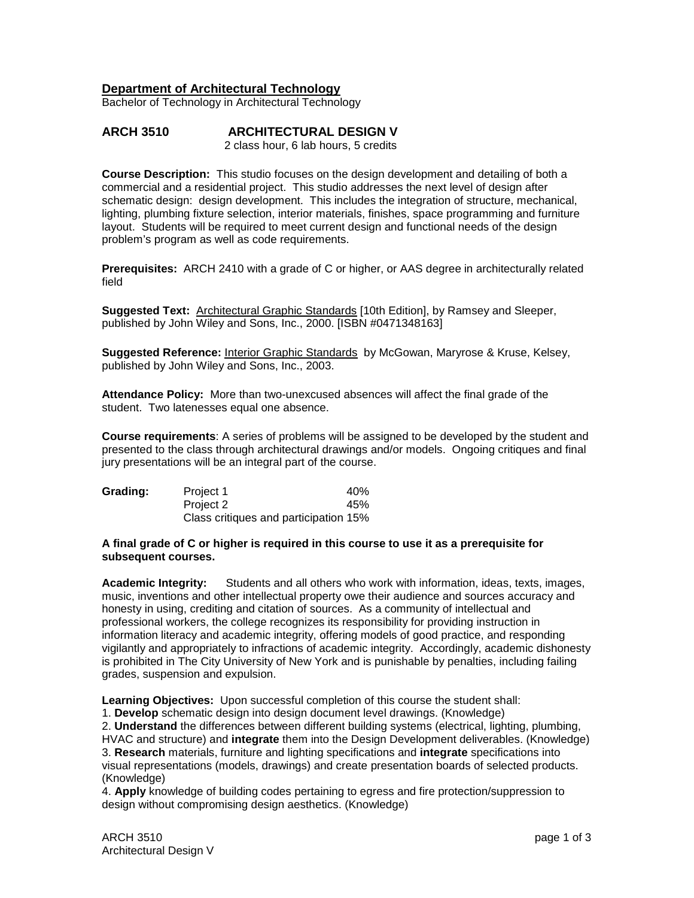## **Department of Architectural Technology**

Bachelor of Technology in Architectural Technology

# **ARCH 3510 ARCHITECTURAL DESIGN V**

2 class hour, 6 lab hours, 5 credits

**Course Description:** This studio focuses on the design development and detailing of both a commercial and a residential project. This studio addresses the next level of design after schematic design: design development. This includes the integration of structure, mechanical, lighting, plumbing fixture selection, interior materials, finishes, space programming and furniture layout. Students will be required to meet current design and functional needs of the design problem's program as well as code requirements.

**Prerequisites:** ARCH 2410 with a grade of C or higher, or AAS degree in architecturally related field

**Suggested Text:** Architectural Graphic Standards [10th Edition], by Ramsey and Sleeper, published by John Wiley and Sons, Inc., 2000. [ISBN #0471348163]

**Suggested Reference:** Interior Graphic Standards by McGowan, Maryrose & Kruse, Kelsey, published by John Wiley and Sons, Inc., 2003.

**Attendance Policy:** More than two-unexcused absences will affect the final grade of the student. Two latenesses equal one absence.

**Course requirements**: A series of problems will be assigned to be developed by the student and presented to the class through architectural drawings and/or models. Ongoing critiques and final jury presentations will be an integral part of the course.

| Grading: | Project 1                             | 40% |
|----------|---------------------------------------|-----|
|          | Project 2                             | 45% |
|          | Class critiques and participation 15% |     |

#### **A final grade of C or higher is required in this course to use it as a prerequisite for subsequent courses.**

**Academic Integrity:** Students and all others who work with information, ideas, texts, images, music, inventions and other intellectual property owe their audience and sources accuracy and honesty in using, crediting and citation of sources. As a community of intellectual and professional workers, the college recognizes its responsibility for providing instruction in information literacy and academic integrity, offering models of good practice, and responding vigilantly and appropriately to infractions of academic integrity. Accordingly, academic dishonesty is prohibited in The City University of New York and is punishable by penalties, including failing grades, suspension and expulsion.

**Learning Objectives:** Upon successful completion of this course the student shall:

1. **Develop** schematic design into design document level drawings. (Knowledge)

2. **Understand** the differences between different building systems (electrical, lighting, plumbing, HVAC and structure) and **integrate** them into the Design Development deliverables. (Knowledge) 3. **Research** materials, furniture and lighting specifications and **integrate** specifications into visual representations (models, drawings) and create presentation boards of selected products. (Knowledge)

4. **Apply** knowledge of building codes pertaining to egress and fire protection/suppression to design without compromising design aesthetics. (Knowledge)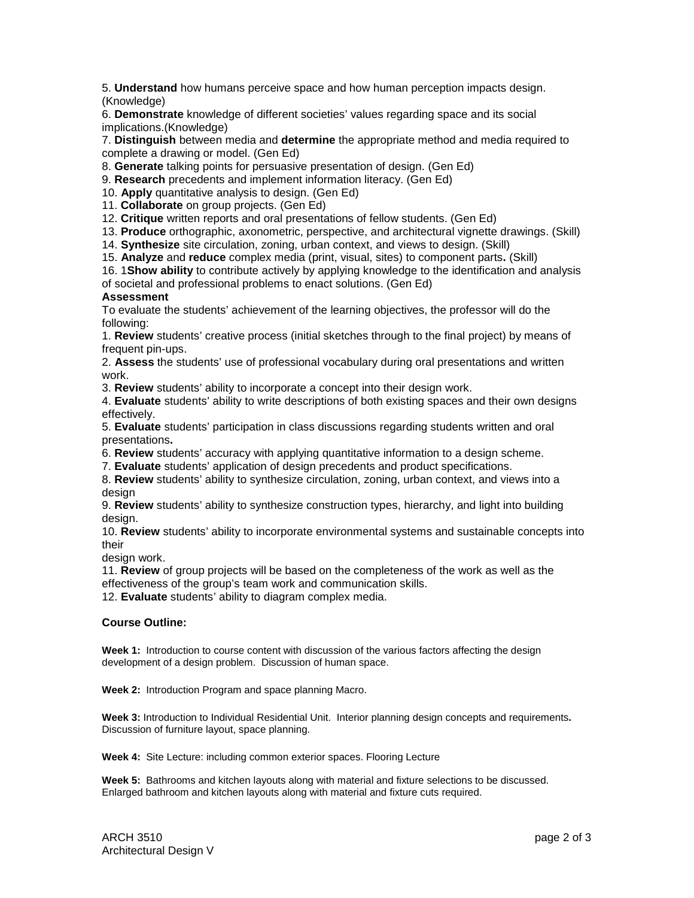5. **Understand** how humans perceive space and how human perception impacts design. (Knowledge)

6. **Demonstrate** knowledge of different societies' values regarding space and its social implications.(Knowledge)

7. **Distinguish** between media and **determine** the appropriate method and media required to complete a drawing or model. (Gen Ed)

8. **Generate** talking points for persuasive presentation of design. (Gen Ed)

9. **Research** precedents and implement information literacy. (Gen Ed)

10. **Apply** quantitative analysis to design. (Gen Ed)

11. **Collaborate** on group projects. (Gen Ed)

12. **Critique** written reports and oral presentations of fellow students. (Gen Ed)

13. **Produce** orthographic, axonometric, perspective, and architectural vignette drawings. (Skill)

14. **Synthesize** site circulation, zoning, urban context, and views to design. (Skill)

15. **Analyze** and **reduce** complex media (print, visual, sites) to component parts**.** (Skill)

16. 1**Show ability** to contribute actively by applying knowledge to the identification and analysis of societal and professional problems to enact solutions. (Gen Ed)

#### **Assessment**

To evaluate the students' achievement of the learning objectives, the professor will do the following:

1. **Review** students' creative process (initial sketches through to the final project) by means of frequent pin-ups.

2. **Assess** the students' use of professional vocabulary during oral presentations and written work.

3. **Review** students' ability to incorporate a concept into their design work.

4. **Evaluate** students' ability to write descriptions of both existing spaces and their own designs effectively.

5. **Evaluate** students' participation in class discussions regarding students written and oral presentations**.**

6. **Review** students' accuracy with applying quantitative information to a design scheme.

7. **Evaluate** students' application of design precedents and product specifications.

8. **Review** students' ability to synthesize circulation, zoning, urban context, and views into a design

9. **Review** students' ability to synthesize construction types, hierarchy, and light into building design.

10. **Review** students' ability to incorporate environmental systems and sustainable concepts into their

design work.

11. **Review** of group projects will be based on the completeness of the work as well as the effectiveness of the group's team work and communication skills.

12. **Evaluate** students' ability to diagram complex media.

#### **Course Outline:**

**Week 1:** Introduction to course content with discussion of the various factors affecting the design development of a design problem. Discussion of human space.

**Week 2:** Introduction Program and space planning Macro.

**Week 3:** Introduction to Individual Residential Unit. Interior planning design concepts and requirements**.**  Discussion of furniture layout, space planning.

**Week 4:** Site Lecture: including common exterior spaces. Flooring Lecture

**Week 5:** Bathrooms and kitchen layouts along with material and fixture selections to be discussed. Enlarged bathroom and kitchen layouts along with material and fixture cuts required.